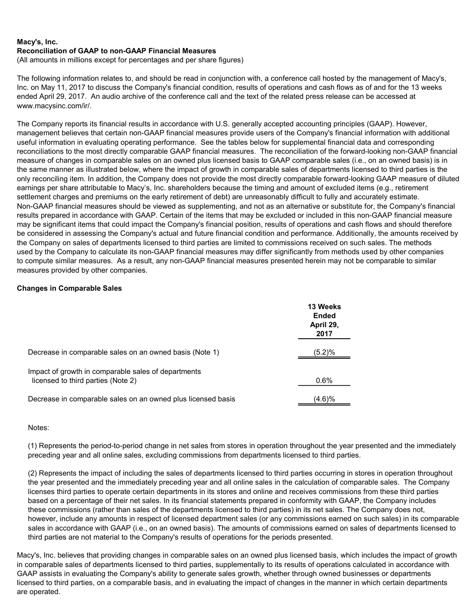(All amounts in millions except for percentages and per share figures)

The following information relates to, and should be read in conjunction with, a conference call hosted by the management of Macy's, Inc. on May 11, 2017 to discuss the Company's financial condition, results of operations and cash flows as of and for the 13 weeks ended April 29, 2017. An audio archive of the conference call and the text of the related press release can be accessed at www.macysinc.com/ir/.

The Company reports its financial results in accordance with U.S. generally accepted accounting principles (GAAP). However, management believes that certain non-GAAP financial measures provide users of the Company's financial information with additional useful information in evaluating operating performance. See the tables below for supplemental financial data and corresponding reconciliations to the most directly comparable GAAP financial measures. The reconciliation of the forward-looking non-GAAP financial measure of changes in comparable sales on an owned plus licensed basis to GAAP comparable sales (i.e., on an owned basis) is in the same manner as illustrated below, where the impact of growth in comparable sales of departments licensed to third parties is the only reconciling item. In addition, the Company does not provide the most directly comparable forward-looking GAAP measure of diluted earnings per share attributable to Macy's, Inc. shareholders because the timing and amount of excluded items (e.g., retirement settlement charges and premiums on the early retirement of debt) are unreasonably difficult to fully and accurately estimate. Non-GAAP financial measures should be viewed as supplementing, and not as an alternative or substitute for, the Company's financial results prepared in accordance with GAAP. Certain of the items that may be excluded or included in this non-GAAP financial measure may be significant items that could impact the Company's financial position, results of operations and cash flows and should therefore be considered in assessing the Company's actual and future financial condition and performance. Additionally, the amounts received by the Company on sales of departments licensed to third parties are limited to commissions received on such sales. The methods used by the Company to calculate its non-GAAP financial measures may differ significantly from methods used by other companies to compute similar measures. As a result, any non-GAAP financial measures presented herein may not be comparable to similar measures provided by other companies.

# Changes in Comparable Sales

|                                                                                           | 13 Weeks<br><b>Ended</b><br>April 29,<br>2017 |
|-------------------------------------------------------------------------------------------|-----------------------------------------------|
| Decrease in comparable sales on an owned basis (Note 1)                                   | (5.2)%                                        |
| Impact of growth in comparable sales of departments<br>licensed to third parties (Note 2) | 0.6%                                          |
| Decrease in comparable sales on an owned plus licensed basis                              | (4.6)%                                        |

## Notes:

(1) Represents the period-to-period change in net sales from stores in operation throughout the year presented and the immediately preceding year and all online sales, excluding commissions from departments licensed to third parties.

(2) Represents the impact of including the sales of departments licensed to third parties occurring in stores in operation throughout the year presented and the immediately preceding year and all online sales in the calculation of comparable sales. The Company licenses third parties to operate certain departments in its stores and online and receives commissions from these third parties based on a percentage of their net sales. In its financial statements prepared in conformity with GAAP, the Company includes these commissions (rather than sales of the departments licensed to third parties) in its net sales. The Company does not, however, include any amounts in respect of licensed department sales (or any commissions earned on such sales) in its comparable sales in accordance with GAAP (i.e., on an owned basis). The amounts of commissions earned on sales of departments licensed to third parties are not material to the Company's results of operations for the periods presented.

Macy's, Inc. believes that providing changes in comparable sales on an owned plus licensed basis, which includes the impact of growth in comparable sales of departments licensed to third parties, supplementally to its results of operations calculated in accordance with GAAP assists in evaluating the Company's ability to generate sales growth, whether through owned businesses or departments licensed to third parties, on a comparable basis, and in evaluating the impact of changes in the manner in which certain departments are operated.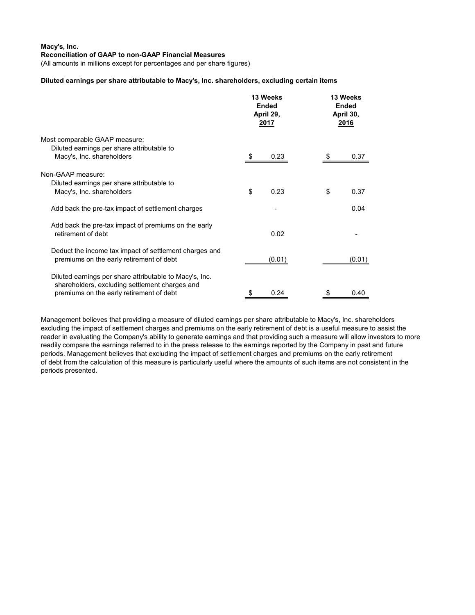(All amounts in millions except for percentages and per share figures)

#### Diluted earnings per share attributable to Macy's, Inc. shareholders, excluding certain items

|                                                                                                                                                       | 13 Weeks<br><b>Ended</b><br>April 29,<br>2017 |        | 13 Weeks<br><b>Ended</b><br>April 30,<br>2016 |        |
|-------------------------------------------------------------------------------------------------------------------------------------------------------|-----------------------------------------------|--------|-----------------------------------------------|--------|
| Most comparable GAAP measure:<br>Diluted earnings per share attributable to<br>Macy's, Inc. shareholders                                              |                                               | 0.23   |                                               | 0.37   |
| Non-GAAP measure:<br>Diluted earnings per share attributable to<br>Macy's, Inc. shareholders                                                          | \$                                            | 0.23   | \$                                            | 0.37   |
| Add back the pre-tax impact of settlement charges                                                                                                     |                                               |        |                                               | 0.04   |
| Add back the pre-tax impact of premiums on the early<br>retirement of debt                                                                            |                                               | 0.02   |                                               |        |
| Deduct the income tax impact of settlement charges and<br>premiums on the early retirement of debt                                                    |                                               | (0.01) |                                               | (0.01) |
| Diluted earnings per share attributable to Macy's, Inc.<br>shareholders, excluding settlement charges and<br>premiums on the early retirement of debt | \$                                            | 0.24   | \$                                            | 0.40   |

Management believes that providing a measure of diluted earnings per share attributable to Macy's, Inc. shareholders excluding the impact of settlement charges and premiums on the early retirement of debt is a useful measure to assist the reader in evaluating the Company's ability to generate earnings and that providing such a measure will allow investors to more readily compare the earnings referred to in the press release to the earnings reported by the Company in past and future periods. Management believes that excluding the impact of settlement charges and premiums on the early retirement of debt from the calculation of this measure is particularly useful where the amounts of such items are not consistent in the periods presented.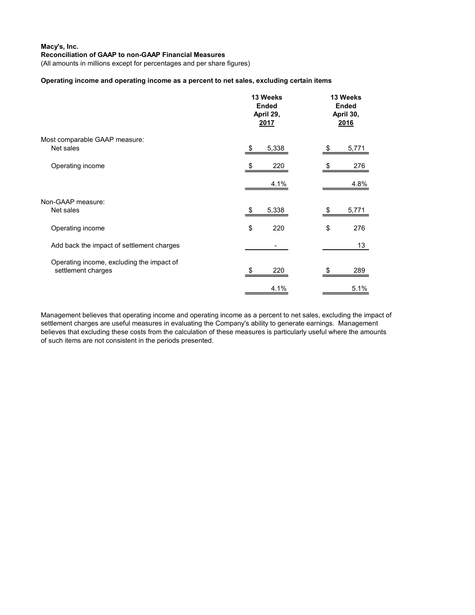(All amounts in millions except for percentages and per share figures)

### Operating income and operating income as a percent to net sales, excluding certain items

|                                                                 | 13 Weeks<br><b>Ended</b><br>April 29,<br>2017 | 13 Weeks<br><b>Ended</b><br>April 30,<br>2016 |       |
|-----------------------------------------------------------------|-----------------------------------------------|-----------------------------------------------|-------|
| Most comparable GAAP measure:<br>Net sales                      | 5,338<br>\$                                   |                                               | 5,771 |
| Operating income                                                | 220                                           |                                               | 276   |
|                                                                 | 4.1%                                          |                                               | 4.8%  |
| Non-GAAP measure:<br>Net sales                                  | 5,338<br>\$                                   | S                                             | 5,771 |
| Operating income                                                | \$<br>220                                     | \$                                            | 276   |
| Add back the impact of settlement charges                       |                                               |                                               | 13    |
| Operating income, excluding the impact of<br>settlement charges | 220                                           |                                               | 289   |
|                                                                 | 4.1%                                          |                                               | 5.1%  |

Management believes that operating income and operating income as a percent to net sales, excluding the impact of settlement charges are useful measures in evaluating the Company's ability to generate earnings. Management believes that excluding these costs from the calculation of these measures is particularly useful where the amounts of such items are not consistent in the periods presented.